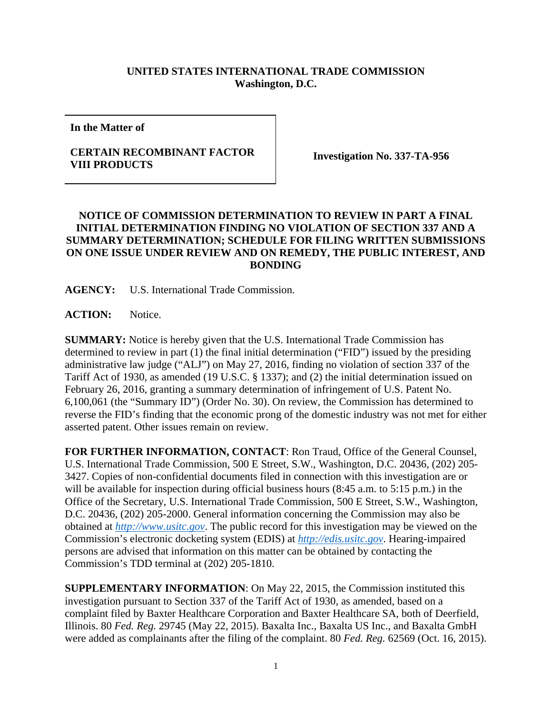## **UNITED STATES INTERNATIONAL TRADE COMMISSION Washington, D.C.**

**In the Matter of** 

## **CERTAIN RECOMBINANT FACTOR VIII PRODUCTS Investigation No. 337-TA-956**

## **NOTICE OF COMMISSION DETERMINATION TO REVIEW IN PART A FINAL INITIAL DETERMINATION FINDING NO VIOLATION OF SECTION 337 AND A SUMMARY DETERMINATION; SCHEDULE FOR FILING WRITTEN SUBMISSIONS ON ONE ISSUE UNDER REVIEW AND ON REMEDY, THE PUBLIC INTEREST, AND BONDING**

**AGENCY:** U.S. International Trade Commission.

**ACTION:** Notice.

**SUMMARY:** Notice is hereby given that the U.S. International Trade Commission has determined to review in part (1) the final initial determination ("FID") issued by the presiding administrative law judge ("ALJ") on May 27, 2016, finding no violation of section 337 of the Tariff Act of 1930, as amended (19 U.S.C. § 1337); and (2) the initial determination issued on February 26, 2016, granting a summary determination of infringement of U.S. Patent No. 6,100,061 (the "Summary ID") (Order No. 30). On review, the Commission has determined to reverse the FID's finding that the economic prong of the domestic industry was not met for either asserted patent. Other issues remain on review.

**FOR FURTHER INFORMATION, CONTACT**: Ron Traud, Office of the General Counsel, U.S. International Trade Commission, 500 E Street, S.W., Washington, D.C. 20436, (202) 205- 3427. Copies of non-confidential documents filed in connection with this investigation are or will be available for inspection during official business hours (8:45 a.m. to 5:15 p.m.) in the Office of the Secretary, U.S. International Trade Commission, 500 E Street, S.W., Washington, D.C. 20436, (202) 205-2000. General information concerning the Commission may also be obtained at *http://www.usitc.gov*. The public record for this investigation may be viewed on the Commission's electronic docketing system (EDIS) at *http://edis.usitc.gov*. Hearing-impaired persons are advised that information on this matter can be obtained by contacting the Commission's TDD terminal at (202) 205-1810.

**SUPPLEMENTARY INFORMATION**: On May 22, 2015, the Commission instituted this investigation pursuant to Section 337 of the Tariff Act of 1930, as amended, based on a complaint filed by Baxter Healthcare Corporation and Baxter Healthcare SA, both of Deerfield, Illinois. 80 *Fed. Reg.* 29745 (May 22, 2015). Baxalta Inc., Baxalta US Inc., and Baxalta GmbH were added as complainants after the filing of the complaint. 80 *Fed. Reg.* 62569 (Oct. 16, 2015).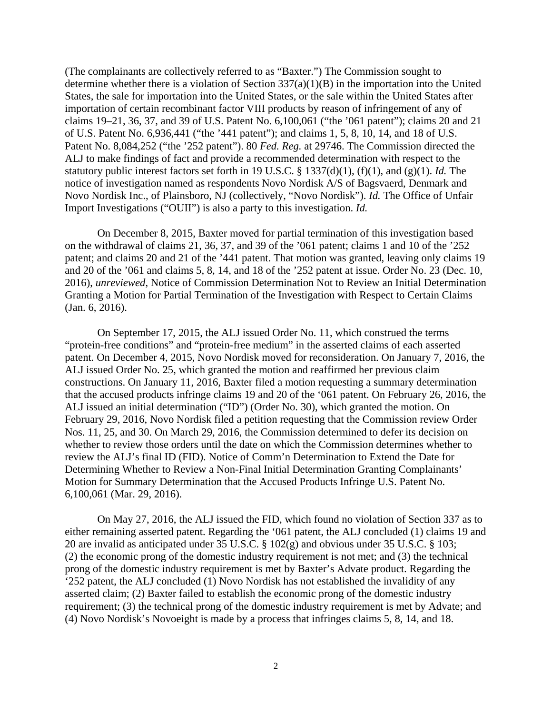(The complainants are collectively referred to as "Baxter.") The Commission sought to determine whether there is a violation of Section 337(a)(1)(B) in the importation into the United States, the sale for importation into the United States, or the sale within the United States after importation of certain recombinant factor VIII products by reason of infringement of any of claims 19–21, 36, 37, and 39 of U.S. Patent No. 6,100,061 ("the '061 patent"); claims 20 and 21 of U.S. Patent No. 6,936,441 ("the '441 patent"); and claims 1, 5, 8, 10, 14, and 18 of U.S. Patent No. 8,084,252 ("the '252 patent"). 80 *Fed. Reg.* at 29746. The Commission directed the ALJ to make findings of fact and provide a recommended determination with respect to the statutory public interest factors set forth in 19 U.S.C. § 1337(d)(1), (f)(1), and (g)(1). *Id.* The notice of investigation named as respondents Novo Nordisk A/S of Bagsvaerd, Denmark and Novo Nordisk Inc., of Plainsboro, NJ (collectively, "Novo Nordisk"). *Id.* The Office of Unfair Import Investigations ("OUII") is also a party to this investigation. *Id.* 

On December 8, 2015, Baxter moved for partial termination of this investigation based on the withdrawal of claims 21, 36, 37, and 39 of the '061 patent; claims 1 and 10 of the '252 patent; and claims 20 and 21 of the '441 patent. That motion was granted, leaving only claims 19 and 20 of the '061 and claims 5, 8, 14, and 18 of the '252 patent at issue. Order No. 23 (Dec. 10, 2016), *unreviewed*, Notice of Commission Determination Not to Review an Initial Determination Granting a Motion for Partial Termination of the Investigation with Respect to Certain Claims (Jan. 6, 2016).

On September 17, 2015, the ALJ issued Order No. 11, which construed the terms "protein-free conditions" and "protein-free medium" in the asserted claims of each asserted patent. On December 4, 2015, Novo Nordisk moved for reconsideration. On January 7, 2016, the ALJ issued Order No. 25, which granted the motion and reaffirmed her previous claim constructions. On January 11, 2016, Baxter filed a motion requesting a summary determination that the accused products infringe claims 19 and 20 of the '061 patent. On February 26, 2016, the ALJ issued an initial determination ("ID") (Order No. 30), which granted the motion. On February 29, 2016, Novo Nordisk filed a petition requesting that the Commission review Order Nos. 11, 25, and 30. On March 29, 2016, the Commission determined to defer its decision on whether to review those orders until the date on which the Commission determines whether to review the ALJ's final ID (FID). Notice of Comm'n Determination to Extend the Date for Determining Whether to Review a Non-Final Initial Determination Granting Complainants' Motion for Summary Determination that the Accused Products Infringe U.S. Patent No. 6,100,061 (Mar. 29, 2016).

On May 27, 2016, the ALJ issued the FID, which found no violation of Section 337 as to either remaining asserted patent. Regarding the '061 patent, the ALJ concluded (1) claims 19 and 20 are invalid as anticipated under 35 U.S.C. § 102(g) and obvious under 35 U.S.C. § 103; (2) the economic prong of the domestic industry requirement is not met; and (3) the technical prong of the domestic industry requirement is met by Baxter's Advate product. Regarding the '252 patent, the ALJ concluded (1) Novo Nordisk has not established the invalidity of any asserted claim; (2) Baxter failed to establish the economic prong of the domestic industry requirement; (3) the technical prong of the domestic industry requirement is met by Advate; and (4) Novo Nordisk's Novoeight is made by a process that infringes claims 5, 8, 14, and 18.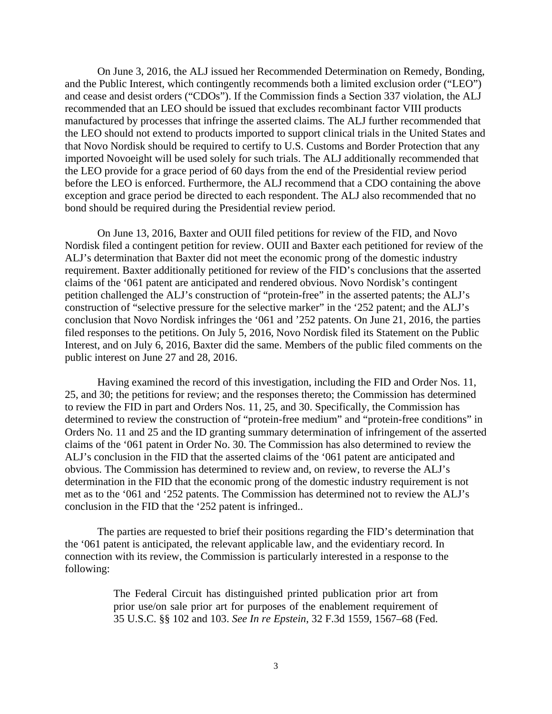On June 3, 2016, the ALJ issued her Recommended Determination on Remedy, Bonding, and the Public Interest, which contingently recommends both a limited exclusion order ("LEO") and cease and desist orders ("CDOs"). If the Commission finds a Section 337 violation, the ALJ recommended that an LEO should be issued that excludes recombinant factor VIII products manufactured by processes that infringe the asserted claims. The ALJ further recommended that the LEO should not extend to products imported to support clinical trials in the United States and that Novo Nordisk should be required to certify to U.S. Customs and Border Protection that any imported Novoeight will be used solely for such trials. The ALJ additionally recommended that the LEO provide for a grace period of 60 days from the end of the Presidential review period before the LEO is enforced. Furthermore, the ALJ recommend that a CDO containing the above exception and grace period be directed to each respondent. The ALJ also recommended that no bond should be required during the Presidential review period.

On June 13, 2016, Baxter and OUII filed petitions for review of the FID, and Novo Nordisk filed a contingent petition for review. OUII and Baxter each petitioned for review of the ALJ's determination that Baxter did not meet the economic prong of the domestic industry requirement. Baxter additionally petitioned for review of the FID's conclusions that the asserted claims of the '061 patent are anticipated and rendered obvious. Novo Nordisk's contingent petition challenged the ALJ's construction of "protein-free" in the asserted patents; the ALJ's construction of "selective pressure for the selective marker" in the '252 patent; and the ALJ's conclusion that Novo Nordisk infringes the '061 and '252 patents. On June 21, 2016, the parties filed responses to the petitions. On July 5, 2016, Novo Nordisk filed its Statement on the Public Interest, and on July 6, 2016, Baxter did the same. Members of the public filed comments on the public interest on June 27 and 28, 2016.

Having examined the record of this investigation, including the FID and Order Nos. 11, 25, and 30; the petitions for review; and the responses thereto; the Commission has determined to review the FID in part and Orders Nos. 11, 25, and 30. Specifically, the Commission has determined to review the construction of "protein-free medium" and "protein-free conditions" in Orders No. 11 and 25 and the ID granting summary determination of infringement of the asserted claims of the '061 patent in Order No. 30. The Commission has also determined to review the ALJ's conclusion in the FID that the asserted claims of the '061 patent are anticipated and obvious. The Commission has determined to review and, on review, to reverse the ALJ's determination in the FID that the economic prong of the domestic industry requirement is not met as to the '061 and '252 patents. The Commission has determined not to review the ALJ's conclusion in the FID that the '252 patent is infringed..

The parties are requested to brief their positions regarding the FID's determination that the '061 patent is anticipated, the relevant applicable law, and the evidentiary record. In connection with its review, the Commission is particularly interested in a response to the following:

> The Federal Circuit has distinguished printed publication prior art from prior use/on sale prior art for purposes of the enablement requirement of 35 U.S.C. §§ 102 and 103. *See In re Epstein*, 32 F.3d 1559, 1567–68 (Fed.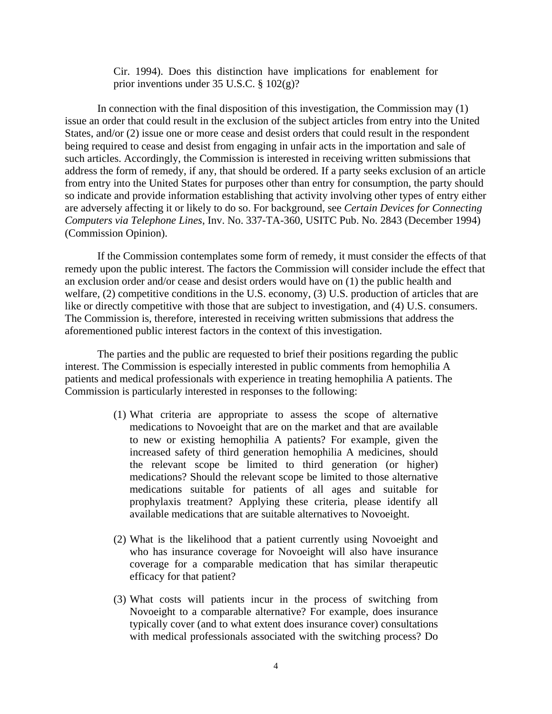Cir. 1994). Does this distinction have implications for enablement for prior inventions under 35 U.S.C. § 102(g)?

In connection with the final disposition of this investigation, the Commission may (1) issue an order that could result in the exclusion of the subject articles from entry into the United States, and/or (2) issue one or more cease and desist orders that could result in the respondent being required to cease and desist from engaging in unfair acts in the importation and sale of such articles. Accordingly, the Commission is interested in receiving written submissions that address the form of remedy, if any, that should be ordered. If a party seeks exclusion of an article from entry into the United States for purposes other than entry for consumption, the party should so indicate and provide information establishing that activity involving other types of entry either are adversely affecting it or likely to do so. For background, see *Certain Devices for Connecting Computers via Telephone Lines*, Inv. No. 337-TA-360, USITC Pub. No. 2843 (December 1994) (Commission Opinion).

If the Commission contemplates some form of remedy, it must consider the effects of that remedy upon the public interest. The factors the Commission will consider include the effect that an exclusion order and/or cease and desist orders would have on (1) the public health and welfare, (2) competitive conditions in the U.S. economy, (3) U.S. production of articles that are like or directly competitive with those that are subject to investigation, and (4) U.S. consumers. The Commission is, therefore, interested in receiving written submissions that address the aforementioned public interest factors in the context of this investigation.

The parties and the public are requested to brief their positions regarding the public interest. The Commission is especially interested in public comments from hemophilia A patients and medical professionals with experience in treating hemophilia A patients. The Commission is particularly interested in responses to the following:

- (1) What criteria are appropriate to assess the scope of alternative medications to Novoeight that are on the market and that are available to new or existing hemophilia A patients? For example, given the increased safety of third generation hemophilia A medicines, should the relevant scope be limited to third generation (or higher) medications? Should the relevant scope be limited to those alternative medications suitable for patients of all ages and suitable for prophylaxis treatment? Applying these criteria, please identify all available medications that are suitable alternatives to Novoeight.
- (2) What is the likelihood that a patient currently using Novoeight and who has insurance coverage for Novoeight will also have insurance coverage for a comparable medication that has similar therapeutic efficacy for that patient?
- (3) What costs will patients incur in the process of switching from Novoeight to a comparable alternative? For example, does insurance typically cover (and to what extent does insurance cover) consultations with medical professionals associated with the switching process? Do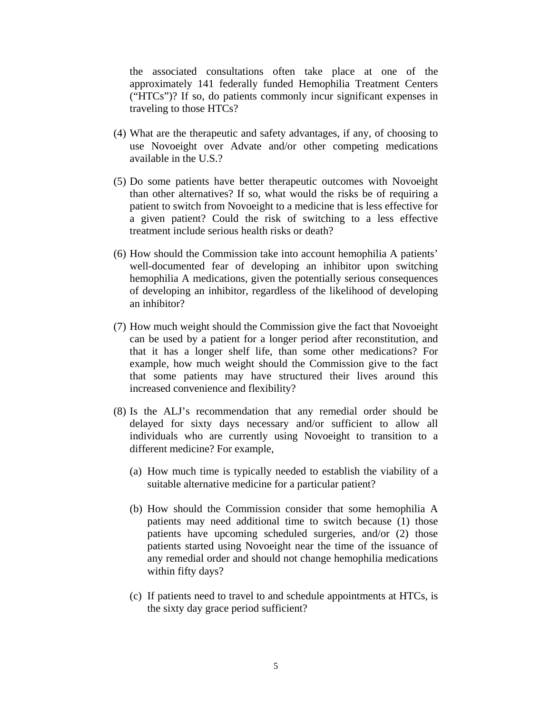the associated consultations often take place at one of the approximately 141 federally funded Hemophilia Treatment Centers ("HTCs")? If so, do patients commonly incur significant expenses in traveling to those HTCs?

- (4) What are the therapeutic and safety advantages, if any, of choosing to use Novoeight over Advate and/or other competing medications available in the U.S.?
- (5) Do some patients have better therapeutic outcomes with Novoeight than other alternatives? If so, what would the risks be of requiring a patient to switch from Novoeight to a medicine that is less effective for a given patient? Could the risk of switching to a less effective treatment include serious health risks or death?
- (6) How should the Commission take into account hemophilia A patients' well-documented fear of developing an inhibitor upon switching hemophilia A medications, given the potentially serious consequences of developing an inhibitor, regardless of the likelihood of developing an inhibitor?
- (7) How much weight should the Commission give the fact that Novoeight can be used by a patient for a longer period after reconstitution, and that it has a longer shelf life, than some other medications? For example, how much weight should the Commission give to the fact that some patients may have structured their lives around this increased convenience and flexibility?
- (8) Is the ALJ's recommendation that any remedial order should be delayed for sixty days necessary and/or sufficient to allow all individuals who are currently using Novoeight to transition to a different medicine? For example,
	- (a) How much time is typically needed to establish the viability of a suitable alternative medicine for a particular patient?
	- (b) How should the Commission consider that some hemophilia A patients may need additional time to switch because (1) those patients have upcoming scheduled surgeries, and/or (2) those patients started using Novoeight near the time of the issuance of any remedial order and should not change hemophilia medications within fifty days?
	- (c) If patients need to travel to and schedule appointments at HTCs, is the sixty day grace period sufficient?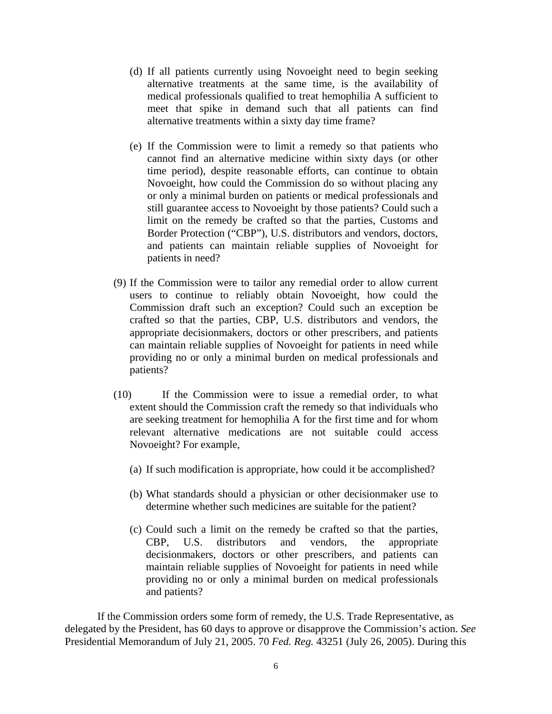- (d) If all patients currently using Novoeight need to begin seeking alternative treatments at the same time, is the availability of medical professionals qualified to treat hemophilia A sufficient to meet that spike in demand such that all patients can find alternative treatments within a sixty day time frame?
- (e) If the Commission were to limit a remedy so that patients who cannot find an alternative medicine within sixty days (or other time period), despite reasonable efforts, can continue to obtain Novoeight, how could the Commission do so without placing any or only a minimal burden on patients or medical professionals and still guarantee access to Novoeight by those patients? Could such a limit on the remedy be crafted so that the parties, Customs and Border Protection ("CBP"), U.S. distributors and vendors, doctors, and patients can maintain reliable supplies of Novoeight for patients in need?
- (9) If the Commission were to tailor any remedial order to allow current users to continue to reliably obtain Novoeight, how could the Commission draft such an exception? Could such an exception be crafted so that the parties, CBP, U.S. distributors and vendors, the appropriate decisionmakers, doctors or other prescribers, and patients can maintain reliable supplies of Novoeight for patients in need while providing no or only a minimal burden on medical professionals and patients?
- (10) If the Commission were to issue a remedial order, to what extent should the Commission craft the remedy so that individuals who are seeking treatment for hemophilia A for the first time and for whom relevant alternative medications are not suitable could access Novoeight? For example,
	- (a) If such modification is appropriate, how could it be accomplished?
	- (b) What standards should a physician or other decisionmaker use to determine whether such medicines are suitable for the patient?
	- (c) Could such a limit on the remedy be crafted so that the parties, CBP, U.S. distributors and vendors, the appropriate decisionmakers, doctors or other prescribers, and patients can maintain reliable supplies of Novoeight for patients in need while providing no or only a minimal burden on medical professionals and patients?

If the Commission orders some form of remedy, the U.S. Trade Representative, as delegated by the President, has 60 days to approve or disapprove the Commission's action. *See* Presidential Memorandum of July 21, 2005. 70 *Fed. Reg.* 43251 (July 26, 2005). During this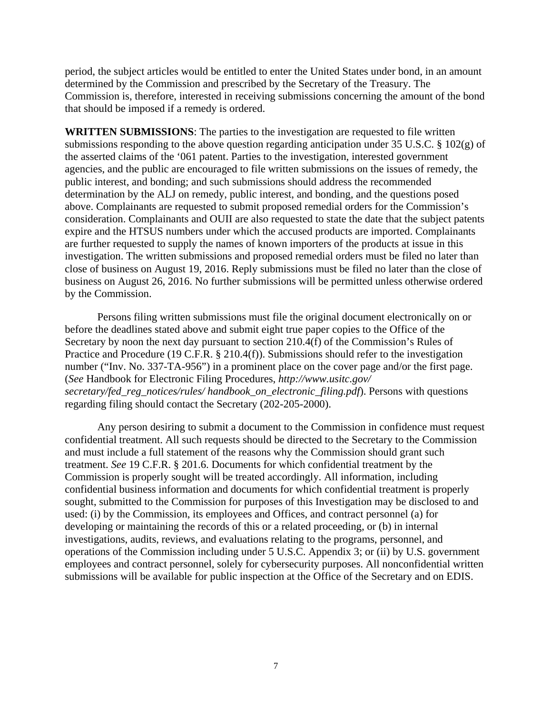period, the subject articles would be entitled to enter the United States under bond, in an amount determined by the Commission and prescribed by the Secretary of the Treasury. The Commission is, therefore, interested in receiving submissions concerning the amount of the bond that should be imposed if a remedy is ordered.

**WRITTEN SUBMISSIONS**: The parties to the investigation are requested to file written submissions responding to the above question regarding anticipation under 35 U.S.C. § 102(g) of the asserted claims of the '061 patent. Parties to the investigation, interested government agencies, and the public are encouraged to file written submissions on the issues of remedy, the public interest, and bonding; and such submissions should address the recommended determination by the ALJ on remedy, public interest, and bonding, and the questions posed above. Complainants are requested to submit proposed remedial orders for the Commission's consideration. Complainants and OUII are also requested to state the date that the subject patents expire and the HTSUS numbers under which the accused products are imported. Complainants are further requested to supply the names of known importers of the products at issue in this investigation. The written submissions and proposed remedial orders must be filed no later than close of business on August 19, 2016. Reply submissions must be filed no later than the close of business on August 26, 2016. No further submissions will be permitted unless otherwise ordered by the Commission.

Persons filing written submissions must file the original document electronically on or before the deadlines stated above and submit eight true paper copies to the Office of the Secretary by noon the next day pursuant to section 210.4(f) of the Commission's Rules of Practice and Procedure (19 C.F.R. § 210.4(f)). Submissions should refer to the investigation number ("Inv. No. 337-TA-956") in a prominent place on the cover page and/or the first page. (*See* Handbook for Electronic Filing Procedures, *http://www.usitc.gov/ secretary/fed\_reg\_notices/rules/ handbook\_on\_electronic\_filing.pdf*). Persons with questions regarding filing should contact the Secretary (202-205-2000).

Any person desiring to submit a document to the Commission in confidence must request confidential treatment. All such requests should be directed to the Secretary to the Commission and must include a full statement of the reasons why the Commission should grant such treatment. *See* 19 C.F.R. § 201.6. Documents for which confidential treatment by the Commission is properly sought will be treated accordingly. All information, including confidential business information and documents for which confidential treatment is properly sought, submitted to the Commission for purposes of this Investigation may be disclosed to and used: (i) by the Commission, its employees and Offices, and contract personnel (a) for developing or maintaining the records of this or a related proceeding, or (b) in internal investigations, audits, reviews, and evaluations relating to the programs, personnel, and operations of the Commission including under 5 U.S.C. Appendix 3; or (ii) by U.S. government employees and contract personnel, solely for cybersecurity purposes. All nonconfidential written submissions will be available for public inspection at the Office of the Secretary and on EDIS.